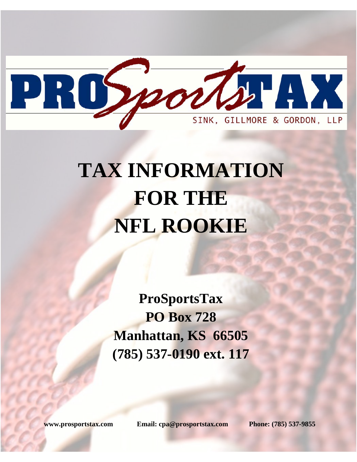

# **TAX INFORMATION FOR THE NFL ROOKIE**

**ProSportsTax PO Box 728 Manhattan, KS 66505 (785) 537-0190 ext. 117** 

**www.prosportstax.com Email: cpa@prosportstax.com Phone: (785) 537-9855**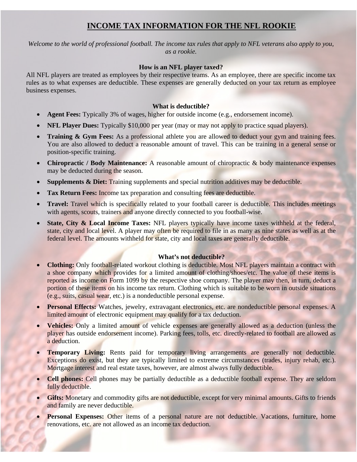# **INCOME TAX INFORMATION FOR THE NFL ROOKIE**

*Welcome to the world of professional football. The income tax rules that apply to NFL veterans also apply to you, as a rookie.* 

## **How is an NFL player taxed?**

All NFL players are treated as employees by their respective teams. As an employee, there are specific income tax rules as to what expenses are deductible. These expenses are generally deducted on your tax return as employee business expenses.

## **What is deductible?**

- **Agent Fees:** Typically 3% of wages, higher for outside income (e.g., endorsement income).
- **NFL Player Dues:** Typically \$10,000 per year (may or may not apply to practice squad players).
- **Training & Gym Fees:** As a professional athlete you are allowed to deduct your gym and training fees. You are also allowed to deduct a reasonable amount of travel. This can be training in a general sense or position-specific training.
- **Chiropractic / Body Maintenance:** A reasonable amount of chiropractic & body maintenance expenses may be deducted during the season.
- **Supplements & Diet:** Training supplements and special nutrition additives may be deductible.
- **Tax Return Fees:** Income tax preparation and consulting fees are deductible.
- Travel: Travel which is specifically related to your football career is deductible. This includes meetings with agents, scouts, trainers and anyone directly connected to you football-wise.
- **State, City & Local Income Taxes:** NFL players typically have income taxes withheld at the federal, state, city and local level. A player may often be required to file in as many as nine states as well as at the federal level. The amounts withheld for state, city and local taxes are generally deductible.

# **What's not deductible?**

- **Clothing:** Only football-related workout clothing is deductible. Most NFL players maintain a contract with a shoe company which provides for a limited amount of clothing/shoes/etc. The value of these items is reported as income on Form 1099 by the respective shoe company. The player may then, in turn, deduct a portion of these items on his income tax return. Clothing which is suitable to be worn in outside situations (e.g., suits, casual wear, etc.) is a nondeductible personal expense.
- **Personal Effects:** Watches, jewelry, extravagant electronics, etc. are nondeductible personal expenses. A limited amount of electronic equipment may qualify for a tax deduction.
- **Vehicles:** Only a limited amount of vehicle expenses are generally allowed as a deduction (unless the player has outside endorsement income). Parking fees, tolls, etc. directly-related to football are allowed as a deduction.
- **Temporary Living:** Rents paid for temporary living arrangements are generally not deductible. Exceptions do exist, but they are typically limited to extreme circumstances (trades, injury rehab, etc.). Mortgage interest and real estate taxes, however, are almost always fully deductible.
- **Cell phones:** Cell phones may be partially deductible as a deductible football expense. They are seldom fully deductible.
- Gifts: Monetary and commodity gifts are not deductible, except for very minimal amounts. Gifts to friends and family are never deductible.
- Personal Expenses: Other items of a personal nature are not deductible. Vacations, furniture, home renovations, etc. are not allowed as an income tax deduction.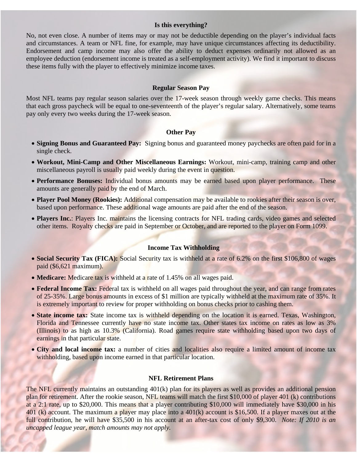#### **Is this everything?**

No, not even close. A number of items may or may not be deductible depending on the player's individual facts and circumstances. A team or NFL fine, for example, may have unique circumstances affecting its deductibility. Endorsement and camp income may also offer the ability to deduct expenses ordinarily not allowed as an employee deduction (endorsement income is treated as a self-employment activity). We find it important to discuss these items fully with the player to effectively minimize income taxes.

#### **Regular Season Pay**

Most NFL teams pay regular season salaries over the 17-week season through weekly game checks. This means that each gross paycheck will be equal to one-seventeenth of the player's regular salary. Alternatively, some teams pay only every two weeks during the 17-week season.

#### **Other Pay**

- **Signing Bonus and Guaranteed Pay:** Signing bonus and guaranteed money paychecks are often paid for in a single check.
- **Workout, Mini-Camp and Other Miscellaneous Earnings:** Workout, mini-camp, training camp and other miscellaneous payroll is usually paid weekly during the event in question.
- **Performance Bonuses:** Individual bonus amounts may be earned based upon player performance. These amounts are generally paid by the end of March.
- **Player Pool Money (Rookies):** Additional compensation may be available to rookies after their season is over, based upon performance. These additional wage amounts are paid after the end of the season.
- **Players Inc.**: Players Inc. maintains the licensing contracts for NFL trading cards, video games and selected other items. Royalty checks are paid in September or October, and are reported to the player on Form 1099.

#### **Income Tax Withholding**

- **Social Security Tax (FICA):** Social Security tax is withheld at a rate of 6.2% on the first \$106,800 of wages paid (\$6,621 maximum).
- **Medicare:** Medicare tax is withheld at a rate of 1.45% on all wages paid.
- **Federal Income Tax:** Federal tax is withheld on all wages paid throughout the year, and can range from rates of 25-35%. Large bonus amounts in excess of \$1 million are typically withheld at the maximum rate of 35%. It is extremely important to review for proper withholding on bonus checks prior to cashing them.
- **State income tax:** State income tax is withheld depending on the location it is earned. Texas, Washington, Florida and Tennessee currently have no state income tax. Other states tax income on rates as low as 3% (Illinois) to as high as 10.3% (California). Road games require state withholding based upon two days of earnings in that particular state.
- **City and local income tax:** a number of cities and localities also require a limited amount of income tax withholding, based upon income earned in that particular location.

#### **NFL Retirement Plans**

The NFL currently maintains an outstanding 401(k) plan for its players as well as provides an additional pension plan for retirement. After the rookie season, NFL teams will match the first \$10,000 of player 401 (k) contributions at a 2:1 rate, up to \$20,000. This means that a player contributing \$10,000 will immediately have \$30,000 in his 401 (k) account. The maximum a player may place into a 401(k) account is \$16,500. If a player maxes out at the full contribution, he will have \$35,500 in his account at an after-tax cost of only \$9,300. *Note: If 2010 is an uncapped league year, match amounts may not apply.*